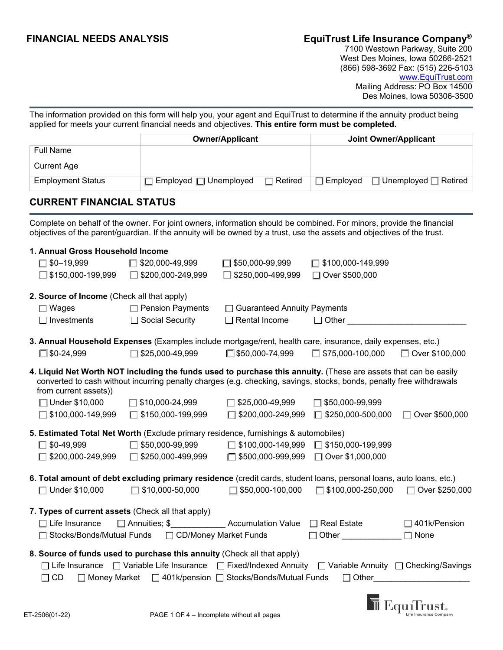# **FINANCIAL NEEDS ANALYSIS EquiTrust Life Insurance Company®**

 7100 Westown Parkway, Suite 200 West Des Moines, Iowa 50266-2521 (866) 598-3692 Fax: (515) 226-5103 www.EquiTrust.com Mailing Address: PO Box 14500 Des Moines, Iowa 50306-3500

The information provided on this form will help you, your agent and EquiTrust to determine if the annuity product being applied for meets your current financial needs and objectives. **This entire form must be completed.** 

|                                                                                                                                                                                                                                                 |                                                                                                                                                                       | <b>Owner/Applicant</b>                | <b>Joint Owner/Applicant</b> |                                    |
|-------------------------------------------------------------------------------------------------------------------------------------------------------------------------------------------------------------------------------------------------|-----------------------------------------------------------------------------------------------------------------------------------------------------------------------|---------------------------------------|------------------------------|------------------------------------|
| <b>Full Name</b>                                                                                                                                                                                                                                |                                                                                                                                                                       |                                       |                              |                                    |
| <b>Current Age</b>                                                                                                                                                                                                                              |                                                                                                                                                                       |                                       |                              |                                    |
| <b>Employment Status</b>                                                                                                                                                                                                                        | Employed □ Unemployed                                                                                                                                                 | Retired                               | <b>Employed</b>              | $\Box$ Unemployed $\Box$ Retired   |
| <b>CURRENT FINANCIAL STATUS</b>                                                                                                                                                                                                                 |                                                                                                                                                                       |                                       |                              |                                    |
| Complete on behalf of the owner. For joint owners, information should be combined. For minors, provide the financial<br>objectives of the parent/guardian. If the annuity will be owned by a trust, use the assets and objectives of the trust. |                                                                                                                                                                       |                                       |                              |                                    |
| 1. Annual Gross Household Income                                                                                                                                                                                                                |                                                                                                                                                                       |                                       |                              |                                    |
| $\Box$ \$0-19,999                                                                                                                                                                                                                               | \$20,000-49,999                                                                                                                                                       | $\Box$ \$50,000-99,999                | ∫ \$100,000-149,999          |                                    |
| $\Box$ \$150,000-199,999                                                                                                                                                                                                                        | \$200,000-249,999                                                                                                                                                     | \$250,000-499,999                     | □ Over \$500,000             |                                    |
| 2. Source of Income (Check all that apply)                                                                                                                                                                                                      |                                                                                                                                                                       |                                       |                              |                                    |
| $\Box$ Wages                                                                                                                                                                                                                                    | $\Box$ Pension Payments                                                                                                                                               | <b>Guaranteed Annuity Payments</b>    |                              |                                    |
| Investments                                                                                                                                                                                                                                     | Social Security                                                                                                                                                       | Rental Income                         | $\Box$ Other                 |                                    |
| 3. Annual Household Expenses (Examples include mortgage/rent, health care, insurance, daily expenses, etc.)                                                                                                                                     |                                                                                                                                                                       |                                       |                              |                                    |
| $\square$ \$0-24,999                                                                                                                                                                                                                            | \$25,000-49,999                                                                                                                                                       | □ \$50,000-74,999                     | $\Box$ \$75,000-100,000      | □ Over \$100,000                   |
| 4. Liquid Net Worth NOT including the funds used to purchase this annuity. (These are assets that can be easily<br>from current assets))                                                                                                        | converted to cash without incurring penalty charges (e.g. checking, savings, stocks, bonds, penalty free withdrawals                                                  |                                       |                              |                                    |
| □ Under \$10,000                                                                                                                                                                                                                                | \$10,000-24,999                                                                                                                                                       | \$25,000-49,999                       | \$50,000-99,999              |                                    |
| \$100,000-149,999                                                                                                                                                                                                                               | \$150,000-199,999<br>П                                                                                                                                                | $\Box$ \$200,000-249,999              | $\Box$ \$250,000-500,000     | Over \$500,000                     |
| 5. Estimated Total Net Worth (Exclude primary residence, furnishings & automobiles)                                                                                                                                                             |                                                                                                                                                                       |                                       |                              |                                    |
| $\Box$ \$0-49,999                                                                                                                                                                                                                               | \$50,000-99,999                                                                                                                                                       | $\Box$ \$100,000-149,999              | $\Box$ \$150,000-199,999     |                                    |
| \$200,000-249,999                                                                                                                                                                                                                               | \$250,000-499,999                                                                                                                                                     | \$500,000-999,999                     | □ Over \$1,000,000           |                                    |
| 6. Total amount of debt excluding primary residence (credit cards, student loans, personal loans, auto loans, etc.)                                                                                                                             |                                                                                                                                                                       |                                       |                              |                                    |
| $\Box$ Under \$10,000                                                                                                                                                                                                                           | \$10,000-50,000                                                                                                                                                       | \$50,000-100,000                      | $\Box$ \$100,000-250,000     | ◯ Over \$250,000                   |
| 7. Types of current assets (Check all that apply)                                                                                                                                                                                               |                                                                                                                                                                       |                                       |                              |                                    |
| $\Box$ Life Insurance<br>Stocks/Bonds/Mutual Funds                                                                                                                                                                                              | $\Box$ Annuities; \$<br>□ CD/Money Market Funds                                                                                                                       | Accumulation Value $\Box$ Real Estate | $\Box$ Other                 | $\Box$ 401k/Pension<br>$\Box$ None |
| 8. Source of funds used to purchase this annuity (Check all that apply)<br>$\Box$ CD                                                                                                                                                            | □ Life Insurance □ Variable Life Insurance □ Fixed/Indexed Annuity □ Variable Annuity □ Checking/Savings<br>□ Money Market □ 401k/pension □ Stocks/Bonds/Mutual Funds |                                       |                              | $\Box$ Other                       |

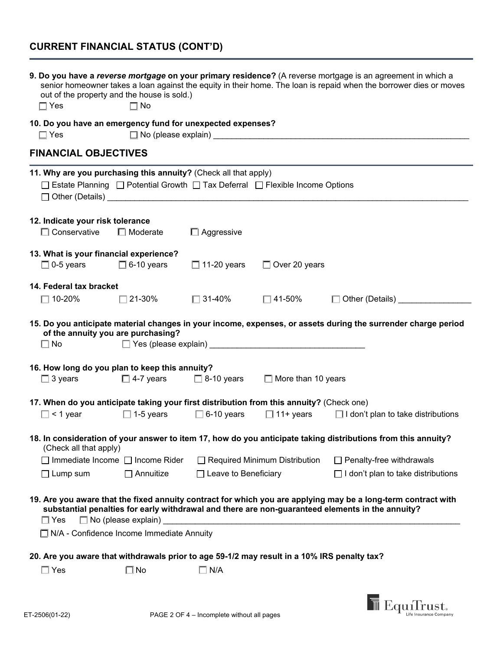# **CURRENT FINANCIAL STATUS (CONT'D)**

| out of the property and the house is sold.)<br>$\square$ Yes                                                                                                               | $\Box$ No                  |                             |                                                                                                       | 9. Do you have a reverse mortgage on your primary residence? (A reverse mortgage is an agreement in which a<br>senior homeowner takes a loan against the equity in their home. The loan is repaid when the borrower dies or moves |
|----------------------------------------------------------------------------------------------------------------------------------------------------------------------------|----------------------------|-----------------------------|-------------------------------------------------------------------------------------------------------|-----------------------------------------------------------------------------------------------------------------------------------------------------------------------------------------------------------------------------------|
| 10. Do you have an emergency fund for unexpected expenses?<br>$\Box$ Yes                                                                                                   |                            |                             | □ No (please explain)<br>□ No (please explain)<br>□ No (please explain)<br>□ No (please explain)<br>□ |                                                                                                                                                                                                                                   |
| <b>FINANCIAL OBJECTIVES</b>                                                                                                                                                |                            |                             |                                                                                                       |                                                                                                                                                                                                                                   |
| 11. Why are you purchasing this annuity? (Check all that apply)<br>□ Estate Planning □ Potential Growth □ Tax Deferral □ Flexible Income Options<br>$\Box$ Other (Details) |                            |                             |                                                                                                       |                                                                                                                                                                                                                                   |
| 12. Indicate your risk tolerance                                                                                                                                           |                            |                             |                                                                                                       |                                                                                                                                                                                                                                   |
| $\Box$ Conservative                                                                                                                                                        | $\Box$ Moderate            | $\Box$ Aggressive           |                                                                                                       |                                                                                                                                                                                                                                   |
| 13. What is your financial experience?                                                                                                                                     |                            |                             |                                                                                                       |                                                                                                                                                                                                                                   |
| $\Box$ 0-5 years                                                                                                                                                           | $\Box$ 6-10 years          | $\Box$ 11-20 years          | $\Box$ Over 20 years                                                                                  |                                                                                                                                                                                                                                   |
| 14. Federal tax bracket                                                                                                                                                    |                            |                             |                                                                                                       |                                                                                                                                                                                                                                   |
| $\square$ 10-20%                                                                                                                                                           | $\Box$ 21-30%              | □ 31-40%                    | $\square$ 41-50%                                                                                      | Other (Details) _________                                                                                                                                                                                                         |
| of the annuity you are purchasing?<br>$\Box$ No                                                                                                                            |                            |                             |                                                                                                       | 15. Do you anticipate material changes in your income, expenses, or assets during the surrender charge period                                                                                                                     |
| 16. How long do you plan to keep this annuity?                                                                                                                             |                            |                             |                                                                                                       |                                                                                                                                                                                                                                   |
| $\Box$ 3 years                                                                                                                                                             |                            |                             | $\Box$ 4-7 years $\Box$ 8-10 years $\Box$ More than 10 years                                          |                                                                                                                                                                                                                                   |
| 17. When do you anticipate taking your first distribution from this annuity? (Check one)                                                                                   |                            |                             |                                                                                                       |                                                                                                                                                                                                                                   |
| $\Box$ < 1 year                                                                                                                                                            | $\Box$ 1-5 years           | $\Box$ 6-10 years           |                                                                                                       | $\Box$ 11+ years $\Box$ I don't plan to take distributions                                                                                                                                                                        |
| (Check all that apply)                                                                                                                                                     |                            |                             |                                                                                                       | 18. In consideration of your answer to item 17, how do you anticipate taking distributions from this annuity?                                                                                                                     |
| $\Box$ Immediate Income $\Box$ Income Rider                                                                                                                                |                            |                             | $\Box$ Required Minimum Distribution                                                                  | $\Box$ Penalty-free withdrawals                                                                                                                                                                                                   |
| $\Box$ Lump sum                                                                                                                                                            | $\Box$ Annuitize           | $\Box$ Leave to Beneficiary |                                                                                                       | $\Box$ I don't plan to take distributions                                                                                                                                                                                         |
| $\Box$ Yes                                                                                                                                                                 | $\Box$ No (please explain) |                             |                                                                                                       | 19. Are you aware that the fixed annuity contract for which you are applying may be a long-term contract with<br>substantial penalties for early withdrawal and there are non-guaranteed elements in the annuity?                 |
| $\Box$ N/A - Confidence Income Immediate Annuity                                                                                                                           |                            |                             |                                                                                                       |                                                                                                                                                                                                                                   |
| 20. Are you aware that withdrawals prior to age 59-1/2 may result in a 10% IRS penalty tax?                                                                                |                            |                             |                                                                                                       |                                                                                                                                                                                                                                   |
| $\Box$ Yes                                                                                                                                                                 | $\square$ No               | $\Box$ N/A                  |                                                                                                       |                                                                                                                                                                                                                                   |

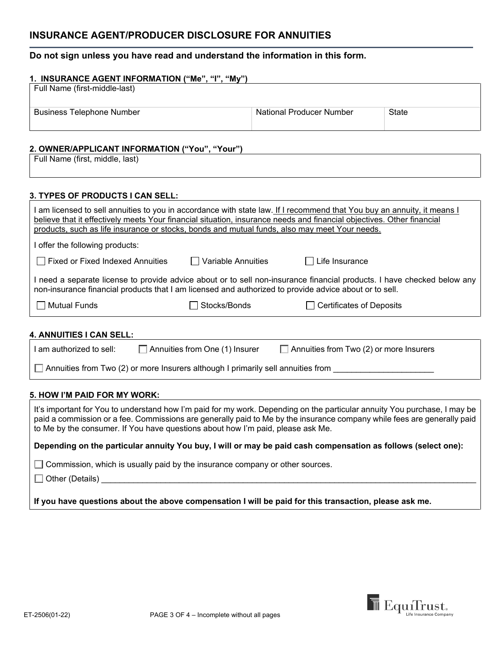# **INSURANCE AGENT/PRODUCER DISCLOSURE FOR ANNUITIES**

# **Do not sign unless you have read and understand the information in this form.**

| 1. INSURANCE AGENT INFORMATION ("Me", "I", "My") |                          |       |  |
|--------------------------------------------------|--------------------------|-------|--|
| Full Name (first-middle-last)                    |                          |       |  |
|                                                  |                          |       |  |
| <b>Business Telephone Number</b>                 | National Producer Number | State |  |
|                                                  |                          |       |  |

# **2. OWNER/APPLICANT INFORMATION ("You", "Your")**

| A YINILIYA LEYAR IRI YINIA IYI Y<br>.<br>. vul |  |
|------------------------------------------------|--|
| Full Name (first,<br>middle.<br>last)          |  |

### **3. TYPES OF PRODUCTS I CAN SELL:**

| am licensed to sell annuities to you in accordance with state law. <u>If I recommend that You buy an annuity, it means I</u><br>believe that it effectively meets Your financial situation, insurance needs and financial objectives. Other financial<br>products, such as life insurance or stocks, bonds and mutual funds, also may meet Your needs. |                    |                                                                                                                       |  |
|--------------------------------------------------------------------------------------------------------------------------------------------------------------------------------------------------------------------------------------------------------------------------------------------------------------------------------------------------------|--------------------|-----------------------------------------------------------------------------------------------------------------------|--|
| I offer the following products:                                                                                                                                                                                                                                                                                                                        |                    |                                                                                                                       |  |
| Fixed or Fixed Indexed Annuities                                                                                                                                                                                                                                                                                                                       | Variable Annuities | Life Insurance                                                                                                        |  |
| non-insurance financial products that I am licensed and authorized to provide advice about or to sell.                                                                                                                                                                                                                                                 |                    | need a separate license to provide advice about or to sell non-insurance financial products. I have checked below any |  |
| $\sqcap$ Mutual Funds                                                                                                                                                                                                                                                                                                                                  | Stocks/Bonds       | Certificates of Deposits                                                                                              |  |
|                                                                                                                                                                                                                                                                                                                                                        |                    |                                                                                                                       |  |

# **4. ANNUITIES I CAN SELL:**

| I am authorized to sell: | Annuities from One (1) Insurer                                                   | $\Box$ Annuities from Two (2) or more Insurers |  |
|--------------------------|----------------------------------------------------------------------------------|------------------------------------------------|--|
|                          | Annuities from Two (2) or more Insurers although I primarily sell annuities from |                                                |  |

# **5. HOW I'M PAID FOR MY WORK:**

It's important for You to understand how I'm paid for my work. Depending on the particular annuity You purchase, I may be paid a commission or a fee. Commissions are generally paid to Me by the insurance company while fees are generally paid to Me by the consumer. If You have questions about how I'm paid, please ask Me.

#### **Depending on the particular annuity You buy, I will or may be paid cash compensation as follows (select one):**

 $\Box$  Commission, which is usually paid by the insurance company or other sources.

 $\square$  Other (Details)

**If you have questions about the above compensation I will be paid for this transaction, please ask me.**